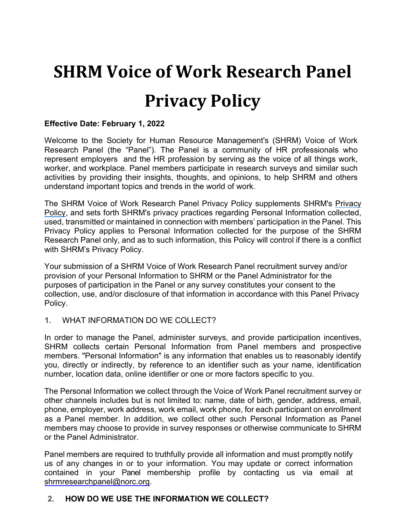# **SHRM Voice of Work Research Panel Privacy Policy**

## **Effective Date: February 1, 2022**

Welcome to the Society for Human Resource Management's (SHRM) Voice of Work Research Panel (the "Panel"). The Panel is a community of HR professionals who represent employers and the HR profession by serving as the voice of all things work, worker, and workplace. Panel members participate in research surveys and similar such activities by providing their insights, thoughts, and opinions, to help SHRM and others understand important topics and trends in the world of work.

The SHRM Voice of Work Research Panel Privacy Policy supplements SHRM's [Privacy](https://www.shrm.org/about-shrm/Pages/Privacy-Policy.aspx)  [Policy,](https://www.shrm.org/about-shrm/Pages/Privacy-Policy.aspx) and sets forth SHRM's privacy practices regarding Personal Information collected, used, transmitted or maintained in connection with members' participation in the Panel. This Privacy Policy applies to Personal Information collected for the purpose of the SHRM Research Panel only, and as to such information, this Policy will control if there is a conflict with SHRM's Privacy Policy.

Your submission of a SHRM Voice of Work Research Panel recruitment survey and/or provision of your Personal Information to SHRM or the Panel Administrator for the purposes of participation in the Panel or any survey constitutes your consent to the collection, use, and/or disclosure of that information in accordance with this Panel Privacy Policy.

#### **1.** WHAT INFORMATION DO WE COLLECT?

In order to manage the Panel, administer surveys, and provide participation incentives, SHRM collects certain Personal Information from Panel members and prospective members. "Personal Information" is any information that enables us to reasonably identify you, directly or indirectly, by reference to an identifier such as your name, identification number, location data, online identifier or one or more factors specific to you.

The Personal Information we collect through the Voice of Work Panel recruitment survey or other channels includes but is not limited to: name, date of birth, gender, address, email, phone, employer, work address, work email, work phone, for each participant on enrollment as a Panel member. In addition, we collect other such Personal Information as Panel members may choose to provide in survey responses or otherwise communicate to SHRM or the Panel Administrator.

Panel members are required to truthfully provide all information and must promptly notify us of any changes in or to your information. You may update or correct information contained in your Panel membership profile by contacting us via email at [shrmresearchpanel@norc.org.](mailto:shrmresearchpanel@norc.org)

# **2. HOW DO WE USE THE INFORMATION WE COLLECT?**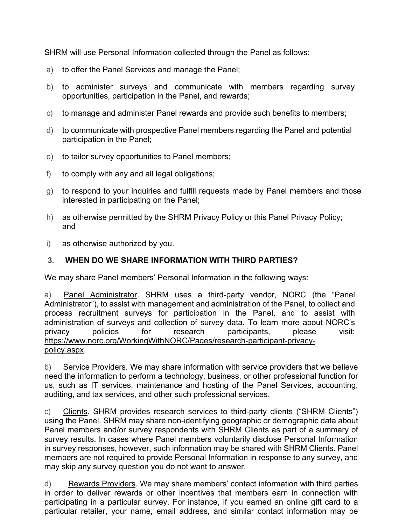SHRM will use Personal Information collected through the Panel as follows:

- a) to offer the Panel Services and manage the Panel;
- b) to administer surveys and communicate with members regarding survey opportunities, participation in the Panel, and rewards;
- c) to manage and administer Panel rewards and provide such benefits to members;
- d) to communicate with prospective Panel members regarding the Panel and potential participation in the Panel;
- e) to tailor survey opportunities to Panel members;
- f) to comply with any and all legal obligations;
- g) to respond to your inquiries and fulfill requests made by Panel members and those interested in participating on the Panel;
- h) as otherwise permitted by the SHRM Privacy Policy or this Panel Privacy Policy; and
- i) as otherwise authorized by you.

## **3. WHEN DO WE SHARE INFORMATION WITH THIRD PARTIES?**

We may share Panel members' Personal Information in the following ways:

a) Panel Administrator. SHRM uses a third-party vendor, NORC (the "Panel Administrator"), to assist with management and administration of the Panel, to collect and process recruitment surveys for participation in the Panel, and to assist with administration of surveys and collection of survey data. To learn more about NORC's privacy policies for research participants, please visit: [https://www.norc.org/WorkingWithNORC/Pages/research-participant-privacy](https://www.norc.org/WorkingWithNORC/Pages/research-participant-privacy-policy.aspx)[policy.aspx.](https://www.norc.org/WorkingWithNORC/Pages/research-participant-privacy-policy.aspx)

b) Service Providers. We may share information with service providers that we believe need the information to perform a technology, business, or other professional function for us, such as IT services, maintenance and hosting of the Panel Services, accounting, auditing, and tax services, and other such professional services.

c) Clients. SHRM provides research services to third-party clients ("SHRM Clients") using the Panel. SHRM may share non-identifying geographic or demographic data about Panel members and/or survey respondents with SHRM Clients as part of a summary of survey results. In cases where Panel members voluntarily disclose Personal Information in survey responses, however, such information may be shared with SHRM Clients. Panel members are not required to provide Personal Information in response to any survey, and may skip any survey question you do not want to answer.

d) Rewards Providers. We may share members' contact information with third parties in order to deliver rewards or other incentives that members earn in connection with participating in a particular survey. For instance, if you earned an online gift card to a particular retailer, your name, email address, and similar contact information may be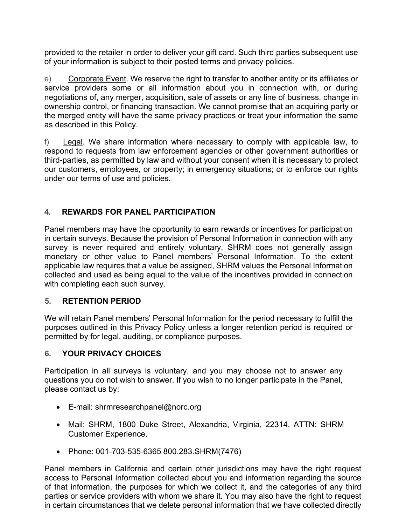provided to the retailer in order to deliver your gift card. Such third parties subsequent use of your information is subject to their posted terms and privacy policies.

e) Corporate Event. We reserve the right to transfer to another entity or its affiliates or service providers some or all information about you in connection with, or during negotiations of, any merger, acquisition, sale of assets or any line of business, change in ownership control, or financing transaction. We cannot promise that an acquiring party or the merged entity will have the same privacy practices or treat your information the same as described in this Policy.

f) Legal. We share information where necessary to comply with applicable law, to respond to requests from law enforcement agencies or other government authorities or third-parties, as permitted by law and without your consent when it is necessary to protect our customers, employees, or property; in emergency situations; or to enforce our rights under our terms of use and policies.

# **4. REWARDS FOR PANEL PARTICIPATION**

Panel members may have the opportunity to earn rewards or incentives for participation in certain surveys. Because the provision of Personal Information in connection with any survey is never required and entirely voluntary, SHRM does not generally assign monetary or other value to Panel members' Personal Information. To the extent applicable law requires that a value be assigned, SHRM values the Personal Information collected and used as being equal to the value of the incentives provided in connection with completing each such survey.

# **5. RETENTION PERIOD**

We will retain Panel members' Personal Information for the period necessary to fulfill the purposes outlined in this Privacy Policy unless a longer retention period is required or permitted by for legal, auditing, or compliance purposes.

# **6. YOUR PRIVACY CHOICES**

Participation in all surveys is voluntary, and you may choose not to answer any questions you do not wish to answer. If you wish to no longer participate in the Panel, please contact us by:

- E-mail: [shrmresearchpanel@norc.org](mailto:shrmresearchpanel@norc.org)
- Mail: SHRM, 1800 Duke Street, Alexandria, Virginia, 22314, ATTN: SHRM Customer Experience.
- Phone: 001-703-535-6365 800.283.SHRM(7476)

Panel members in California and certain other jurisdictions may have the right request access to Personal Information collected about you and information regarding the source of that information, the purposes for which we collect it, and the categories of any third parties or service providers with whom we share it. You may also have the right to request in certain circumstances that we delete personal information that we have collected directly